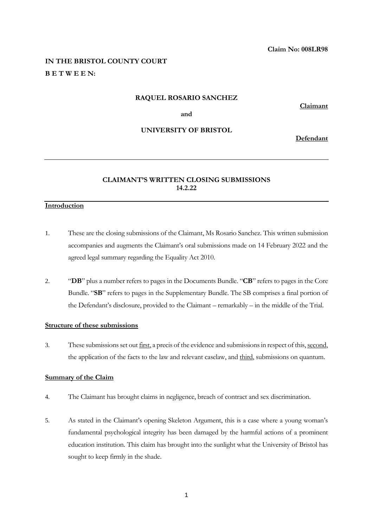# **IN THE BRISTOL COUNTY COURT B E T W E E N:**

#### **RAQUEL ROSARIO SANCHEZ**

**Claimant**

**and** 

# **UNIVERSITY OF BRISTOL**

**Defendant**

# **CLAIMANT'S WRITTEN CLOSING SUBMISSIONS 14.2.22**

# **Introduction**

- 1. These are the closing submissions of the Claimant, Ms Rosario Sanchez. This written submission accompanies and augments the Claimant's oral submissions made on 14 February 2022 and the agreed legal summary regarding the Equality Act 2010.
- 2. "**DB**" plus a number refers to pages in the Documents Bundle. "**CB**" refers to pages in the Core Bundle. "**SB**" refers to pages in the Supplementary Bundle. The SB comprises a final portion of the Defendant's disclosure, provided to the Claimant – remarkably – in the middle of the Trial.

### **Structure of these submissions**

3. These submissions set out first, a precis of the evidence and submissions in respect of this, second, the application of the facts to the law and relevant caselaw, and third, submissions on quantum.

# **Summary of the Claim**

- 4. The Claimant has brought claims in negligence, breach of contract and sex discrimination.
- 5. As stated in the Claimant's opening Skeleton Argument, this is a case where a young woman's fundamental psychological integrity has been damaged by the harmful actions of a prominent education institution. This claim has brought into the sunlight what the University of Bristol has sought to keep firmly in the shade.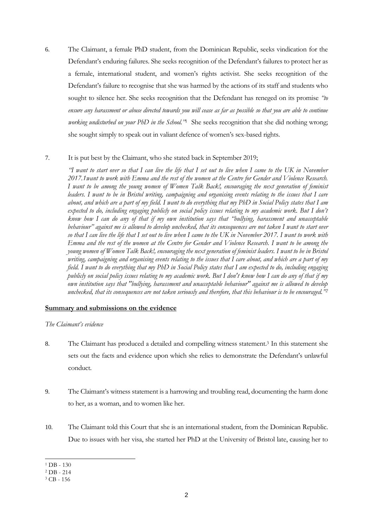6. The Claimant, a female PhD student, from the Dominican Republic, seeks vindication for the Defendant's enduring failures. She seeks recognition of the Defendant's failures to protect her as a female, international student, and women's rights activist. She seeks recognition of the Defendant's failure to recognise that she was harmed by the actions of its staff and students who sought to silence her. She seeks recognition that the Defendant has reneged on its promise *"to*  ensure any harassment or abuse directed towards you will cease as far as possible so that you are able to continue *working undisturbed on your PhD in the School."*<sup>1</sup> She seeks recognition that she did nothing wrong; she sought simply to speak out in valiant defence of women's sex-based rights.

# 7. It is put best by the Claimant, who she stated back in September 2019;

*"I want to start over so that I can live the life that I set out to live when I came to the UK in November 2017.1want to work with Emma and the rest of the women at the Centre for Gender and Violence Research. I want to be among the young women of Women Talk Back!, encouraging the next generation of feminist leaders. I want to be in Bristol writing, campaigning and organising events relating to the issues that I care about, and which are a part of my field. I want to do everything that my PhD in Social Policy states that I am*  expected to do, including engaging publicly on social policy issues relating to my academic work. But I don't *know how I can do any of that if my own institution says that "bullying, harassment and unacceptable behaviour" against me is allowed to develop unchecked, that its consequences are not taken I want to start over so that I can live the life that I set out to live when I came to the UK in November 2017. I want to work with Emma and the rest of the women at the Centre for Gender and Violence Research. I want to be among the young women of Women Talk Back!, encouraging the next generation of feminist leaders. I want to be in Bristol writing, campaigning and organising events relating to the issues that I care about, and which are a part of my field. I want to do everything that my PhD in Social Policy states that I am expected to do, including engaging publicly on social policy issues relating to my academic work. But I don't know how I can do any of that if my own institution says that "bullying, harassment and unacceptable behaviour" against me is allowed to develop unchecked, that its consequences are not taken seriously and therefore, that this behaviour is to be encouraged."<sup>2</sup>*

#### **Summary and submissions on the evidence**

#### *The Claimant's evidence*

- 8. The Claimant has produced a detailed and compelling witness statement.<sup>3</sup> In this statement she sets out the facts and evidence upon which she relies to demonstrate the Defendant's unlawful conduct.
- 9. The Claimant's witness statement is a harrowing and troubling read, documenting the harm done to her, as a woman, and to women like her.
- 10. The Claimant told this Court that she is an international student, from the Dominican Republic. Due to issues with her visa, she started her PhD at the University of Bristol late, causing her to

 $1$  DB - 130

<sup>2</sup> DB - 214

<sup>3</sup> CB - 156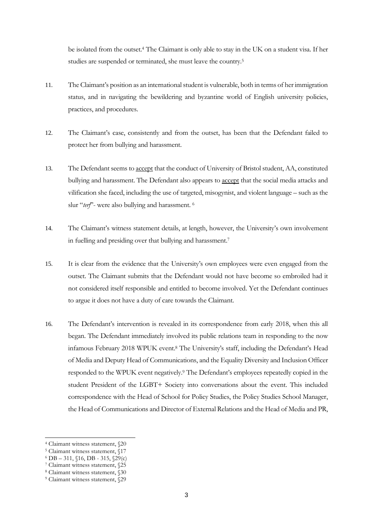be isolated from the outset. <sup>4</sup> The Claimant is only able to stay in the UK on a student visa. If her studies are suspended or terminated, she must leave the country.<sup>5</sup>

- 11. The Claimant's position as an international student is vulnerable, both in terms of her immigration status, and in navigating the bewildering and byzantine world of English university policies, practices, and procedures.
- 12. The Claimant's case, consistently and from the outset, has been that the Defendant failed to protect her from bullying and harassment.
- 13. The Defendant seems to accept that the conduct of University of Bristol student, AA, constituted bullying and harassment. The Defendant also appears to accept that the social media attacks and vilification she faced, including the use of targeted, misogynist, and violent language – such as the slur "*terf*"- were also bullying and harassment. <sup>6</sup>
- 14. The Claimant's witness statement details, at length, however, the University's own involvement in fuelling and presiding over that bullying and harassment.<sup>7</sup>
- 15. It is clear from the evidence that the University's own employees were even engaged from the outset. The Claimant submits that the Defendant would not have become so embroiled had it not considered itself responsible and entitled to become involved. Yet the Defendant continues to argue it does not have a duty of care towards the Claimant.
- 16. The Defendant's intervention is revealed in its correspondence from early 2018, when this all began. The Defendant immediately involved its public relations team in responding to the now infamous February 2018 WPUK event.<sup>8</sup> The University's staff, including the Defendant's Head of Media and Deputy Head of Communications, and the Equality Diversity and Inclusion Officer responded to the WPUK event negatively.<sup>9</sup> The Defendant's employees repeatedly copied in the student President of the LGBT+ Society into conversations about the event. This included correspondence with the Head of School for Policy Studies, the Policy Studies School Manager, the Head of Communications and Director of External Relations and the Head of Media and PR,

<sup>4</sup> Claimant witness statement, §20

<sup>5</sup> Claimant witness statement, §17

 $6$  DB – 311,  $$16$ , DB - 315,  $$29$ (c)

<sup>7</sup> Claimant witness statement, §25

<sup>8</sup> Claimant witness statement, §30

<sup>9</sup> Claimant witness statement, §29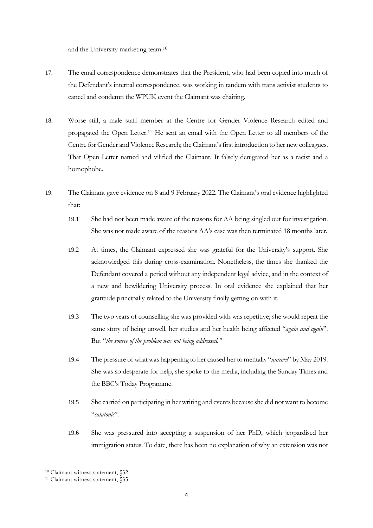and the University marketing team. 10

- 17. The email correspondence demonstrates that the President, who had been copied into much of the Defendant's internal correspondence, was working in tandem with trans activist students to cancel and condemn the WPUK event the Claimant was chairing.
- 18. Worse still, a male staff member at the Centre for Gender Violence Research edited and propagated the Open Letter.<sup>11</sup> He sent an email with the Open Letter to all members of the Centre for Gender and Violence Research; the Claimant's first introduction to her new colleagues. That Open Letter named and vilified the Claimant. It falsely denigrated her as a racist and a homophobe.
- 19. The Claimant gave evidence on 8 and 9 February 2022. The Claimant's oral evidence highlighted that:
	- 19.1 She had not been made aware of the reasons for AA being singled out for investigation. She was not made aware of the reasons AA's case was then terminated 18 months later.
	- 19.2 At times, the Claimant expressed she was grateful for the University's support. She acknowledged this during cross-examination. Nonetheless, the times she thanked the Defendant covered a period without any independent legal advice, and in the context of a new and bewildering University process. In oral evidence she explained that her gratitude principally related to the University finally getting on with it.
	- 19.3 The two years of counselling she was provided with was repetitive; she would repeat the same story of being unwell, her studies and her health being affected "*again and again*". But "*the source of the problem was not being addressed."*
	- 19.4 The pressure of what was happening to her caused her to mentally "*unravel*" by May 2019. She was so desperate for help, she spoke to the media, including the Sunday Times and the BBC's Today Programme.
	- 19.5 She carried on participating in her writing and events because she did not want to become "*catatonic*".
	- 19.6 She was pressured into accepting a suspension of her PhD, which jeopardised her immigration status. To date, there has been no explanation of why an extension was not

<sup>10</sup> Claimant witness statement, §32

<sup>&</sup>lt;sup>11</sup> Claimant witness statement, §35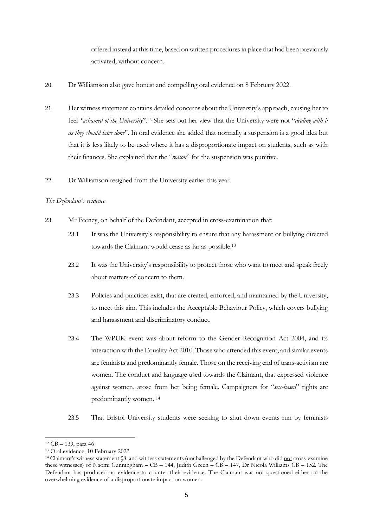offered instead at this time, based on written procedures in place that had been previously activated, without concern.

- 20. Dr Williamson also gave honest and compelling oral evidence on 8 February 2022.
- 21. Her witness statement contains detailed concerns about the University's approach, causing her to feel *"ashamed of the University*".<sup>12</sup> She sets out her view that the University were not "*dealing with it as they should have done*". In oral evidence she added that normally a suspension is a good idea but that it is less likely to be used where it has a disproportionate impact on students, such as with their finances. She explained that the "*reason*" for the suspension was punitive.
- 22. Dr Williamson resigned from the University earlier this year.

#### *The Defendant's evidence*

- 23. Mr Feeney, on behalf of the Defendant, accepted in cross-examination that:
	- 23.1 It was the University's responsibility to ensure that any harassment or bullying directed towards the Claimant would cease as far as possible. 13
	- 23.2 It was the University's responsibility to protect those who want to meet and speak freely about matters of concern to them.
	- 23.3 Policies and practices exist, that are created, enforced, and maintained by the University, to meet this aim. This includes the Acceptable Behaviour Policy, which covers bullying and harassment and discriminatory conduct.
	- 23.4 The WPUK event was about reform to the Gender Recognition Act 2004, and its interaction with the Equality Act 2010. Those who attended this event, and similar events are feminists and predominantly female. Those on the receiving end of trans-activism are women. The conduct and language used towards the Claimant, that expressed violence against women, arose from her being female. Campaigners for "*sex-based*" rights are predominantly women. <sup>14</sup>
	- 23.5 That Bristol University students were seeking to shut down events run by feminists

<sup>12</sup> CB – 139, para 46

<sup>13</sup> Oral evidence, 10 February 2022

<sup>&</sup>lt;sup>14</sup> Claimant's witness statement §8, and witness statements (unchallenged by the Defendant who did not cross-examine these witnesses) of Naomi Cunningham – CB – 144, Judith Green – CB – 147, Dr Nicola Williams CB – 152. The Defendant has produced no evidence to counter their evidence. The Claimant was not questioned either on the overwhelming evidence of a disproportionate impact on women.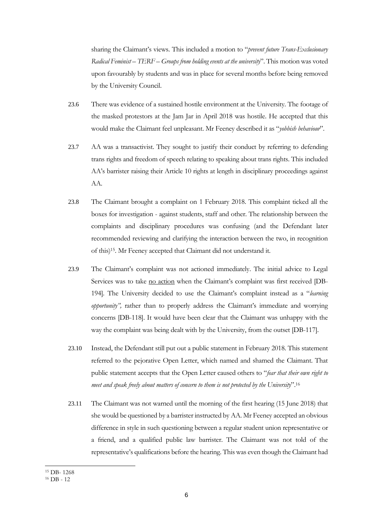sharing the Claimant's views. This included a motion to "*prevent future Trans-Exclusionary Radical Feminist – TERF – Groups from holding events at the university*". This motion was voted upon favourably by students and was in place for several months before being removed by the University Council.

- 23.6 There was evidence of a sustained hostile environment at the University. The footage of the masked protestors at the Jam Jar in April 2018 was hostile. He accepted that this would make the Claimant feel unpleasant. Mr Feeney described it as "*yobbish behaviour*".
- 23.7 AA was a transactivist. They sought to justify their conduct by referring to defending trans rights and freedom of speech relating to speaking about trans rights. This included AA's barrister raising their Article 10 rights at length in disciplinary proceedings against AA.
- 23.8 The Claimant brought a complaint on 1 February 2018. This complaint ticked all the boxes for investigation - against students, staff and other. The relationship between the complaints and disciplinary procedures was confusing (and the Defendant later recommended reviewing and clarifying the interaction between the two, in recognition of this) <sup>15</sup>. Mr Feeney accepted that Claimant did not understand it.
- 23.9 The Claimant's complaint was not actioned immediately. The initial advice to Legal Services was to take no action when the Claimant's complaint was first received [DB-194]. The University decided to use the Claimant's complaint instead as a "*learning opportunity",* rather than to properly address the Claimant's immediate and worrying concerns [DB-118]. It would have been clear that the Claimant was unhappy with the way the complaint was being dealt with by the University, from the outset [DB-117].
- 23.10 Instead, the Defendant still put out a public statement in February 2018. This statement referred to the pejorative Open Letter, which named and shamed the Claimant. That public statement accepts that the Open Letter caused others to "*fear that their own right to meet and speak freely about matters of concern to them is not protected by the University*".<sup>16</sup>
- 23.11 The Claimant was not warned until the morning of the first hearing (15 June 2018) that she would be questioned by a barrister instructed by AA. Mr Feeney accepted an obvious difference in style in such questioning between a regular student union representative or a friend, and a qualified public law barrister. The Claimant was not told of the representative's qualifications before the hearing. This was even though the Claimant had

<sup>15</sup> DB- 1268

 $16$  DB - 12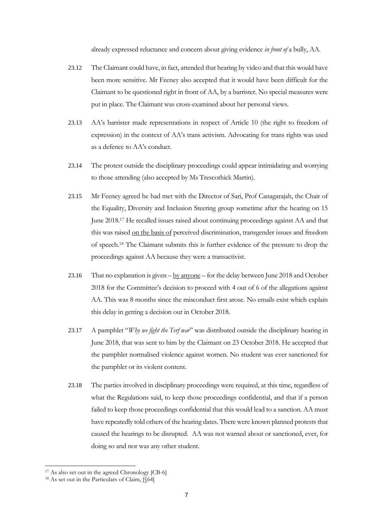already expressed reluctance and concern about giving evidence *in front of* a bully, AA.

- 23.12 The Claimant could have, in fact, attended that hearing by video and that this would have been more sensitive. Mr Feeney also accepted that it would have been difficult for the Claimant to be questioned right in front of AA, by a barrister. No special measures were put in place. The Claimant was cross-examined about her personal views.
- 23.13 AA's barrister made representations in respect of Article 10 (the right to freedom of expression) in the context of AA's trans activism. Advocating for trans rights was used as a defence to AA's conduct.
- 23.14 The protest outside the disciplinary proceedings could appear intimidating and worrying to those attending (also accepted by Ms Trescothick Martin).
- 23.15 Mr Feeney agreed he had met with the Director of Sari, Prof Canagarajah, the Chair of the Equality, Diversity and Inclusion Steering group sometime after the hearing on 15 June 2018.<sup>17</sup> He recalled issues raised about continuing proceedings against AA and that this was raised on the basis of perceived discrimination, transgender issues and freedom of speech.<sup>18</sup> The Claimant submits this is further evidence of the pressure to drop the proceedings against AA because they were a transactivist.
- 23.16 That no explanation is given by anyone for the delay between June 2018 and October 2018 for the Committee's decision to proceed with 4 out of 6 of the allegations against AA. This was 8 months since the misconduct first arose. No emails exist which explain this delay in getting a decision out in October 2018.
- 23.17 A pamphlet "*Why we fight the Terf war*" was distributed outside the disciplinary hearing in June 2018, that was sent to him by the Claimant on 23 October 2018. He accepted that the pamphlet normalised violence against women. No student was ever sanctioned for the pamphlet or its violent content.
- 23.18 The parties involved in disciplinary proceedings were required, at this time, regardless of what the Regulations said, to keep those proceedings confidential, and that if a person failed to keep those proceedings confidential that this would lead to a sanction. AA must have repeatedly told others of the hearing dates. There were known planned protests that caused the hearings to be disrupted. AA was not warned about or sanctioned, ever, for doing so and nor was any other student.

<sup>17</sup> As also set out in the agreed Chronology [CB-6]

<sup>&</sup>lt;sup>18</sup> As set out in the Particulars of Claim,  $\sqrt{64}$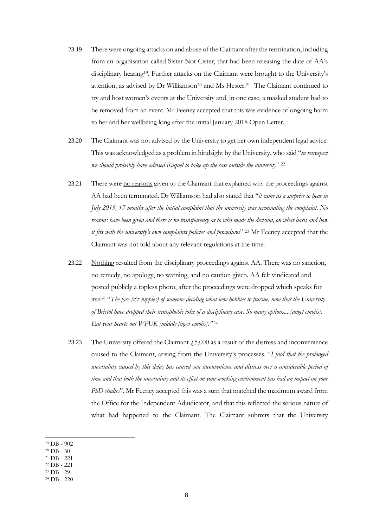- 23.19 There were ongoing attacks on and abuse of the Claimant after the termination, including from an organisation called Sister Not Cister, that had been releasing the date of AA's disciplinary hearing19. Further attacks on the Claimant were brought to the University's attention, as advised by Dr Williamson<sup>20</sup> and Ms Hester.<sup>21</sup> The Claimant continued to try and host women's events at the University and, in one case, a masked student had to be removed from an event. Mr Feeney accepted that this was evidence of ongoing harm to her and her wellbeing long after the initial January 2018 Open Letter.
- 23.20 The Claimant was not advised by the University to get her own independent legal advice. This was acknowledged as a problem in hindsight by the University, who said "*in retrospect we should probably have advised Raquel to take up the case outside the university*".<sup>22</sup>
- 23.21 There were no reasons given to the Claimant that explained why the proceedings against AA had been terminated. Dr Williamson had also stated that "*it came as a surprise to hear in July 2019, 17 months after the initial complaint that the university was terminating the complaint. No reasons have been given and there is no transparency as to who made the decision, on what basis and how it fits with the university's own complaints policies and procedures*".<sup>23</sup> Mr Feeney accepted that the Claimant was not told about any relevant regulations at the time.
- 23.22 Nothing resulted from the disciplinary proceedings against AA. There was no sanction, no remedy, no apology, no warning, and no caution given. AA felt vindicated and posted publicly a topless photo, after the proceedings were dropped which speaks for itself: "*The face (& nipples) of someone deciding what new hobbies to pursue, now that the University of Bristol have dropped their transphobic joke of a disciplinary case. So many options....[angel emojis]. Eat your hearts out WPUK [middle finger emojis]."* <sup>24</sup>
- 23.23 The University offered the Claimant  $\dot{f}$  5,000 as a result of the distress and inconvenience caused to the Claimant, arising from the University's processes. "*I find that the prolonged uncertainty caused by this delay has caused you inconvenience and distress over a considerable period of time and that both the uncertainty and its effect on your working environment has had an impact on your PhD studies*". Mr Feeney accepted this was a sum that matched the maximum award from the Office for the Independent Adjudicator, and that this reflected the serious nature of what had happened to the Claimant. The Claimant submits that the University
- <sup>19</sup> DB 902
- $20$  DB 30
- <sup>21</sup> DB 221
- <sup>22</sup> DB 221
- <sup>23</sup> DB 29

<sup>24</sup> DB - 220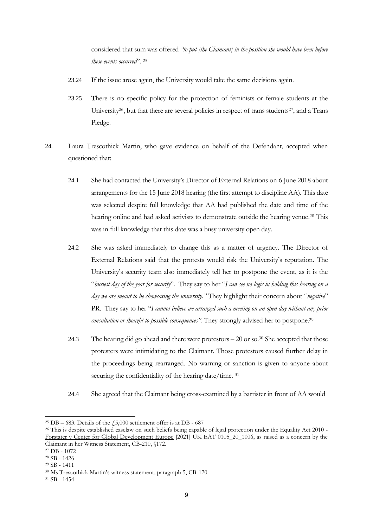considered that sum was offered *"to put [the Claimant] in the position she would have been before these events occurred*". <sup>25</sup>

- 23.24 If the issue arose again, the University would take the same decisions again.
- 23.25 There is no specific policy for the protection of feminists or female students at the University<sup>26</sup>, but that there are several policies in respect of trans students<sup>27</sup>, and a Trans Pledge.
- 24. Laura Trescothick Martin, who gave evidence on behalf of the Defendant, accepted when questioned that:
	- 24.1 She had contacted the University's Director of External Relations on 6 June 2018 about arrangements for the 15 June 2018 hearing (the first attempt to discipline AA). This date was selected despite full knowledge that AA had published the date and time of the hearing online and had asked activists to demonstrate outside the hearing venue. <sup>28</sup> This was in full knowledge that this date was a busy university open day.
	- 24.2 She was asked immediately to change this as a matter of urgency. The Director of External Relations said that the protests would risk the University's reputation. The University's security team also immediately tell her to postpone the event, as it is the "*busiest day of the year for security*". They say to her "*I can see no logic in holding this hearing on a day we are meant to be showcasing the university."* They highlight their concern about "*negative*" PR. They say to her "*I cannot believe we arranged such a meeting on an open day without any prior consultation or thought to possible consequences*". They strongly advised her to postpone.<sup>29</sup>
	- 24.3 The hearing did go ahead and there were protestors 20 or so.<sup>30</sup> She accepted that those protesters were intimidating to the Claimant. Those protestors caused further delay in the proceedings being rearranged. No warning or sanction is given to anyone about securing the confidentiality of the hearing date/time. 31
	- 24.4 She agreed that the Claimant being cross-examined by a barrister in front of AA would

<sup>&</sup>lt;sup>25</sup> DB – 683. Details of the  $\text{\emph{f}}5,000$  settlement offer is at DB - 687

<sup>&</sup>lt;sup>26</sup> This is despite established caselaw on such beliefs being capable of legal protection under the Equality Act 2010 -Forstater v Center for Global Development Europe [2021] UK EAT 0105\_20\_1006, as raised as a concern by the Claimant in her Witness Statement, CB-210, §172.

<sup>27</sup> DB - 1072

<sup>28</sup> SB - 1426

<sup>29</sup> SB - 1411

<sup>30</sup> Ms Trescothick Martin's witness statement, paragraph 5, CB-120

<sup>31</sup> SB - 1454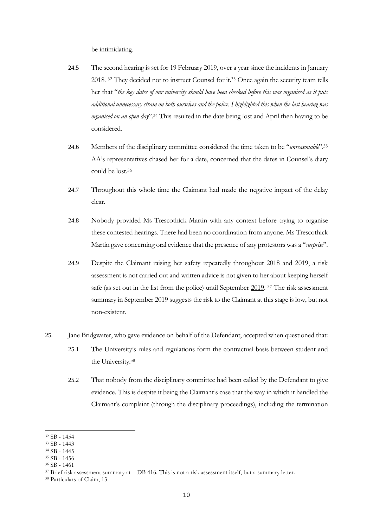be intimidating.

- 24.5 The second hearing is set for 19 February 2019, over a year since the incidents in January 2018. <sup>32</sup> They decided not to instruct Counsel for it.<sup>33</sup> Once again the security team tells her that "*the key dates of our university should have been checked before this was organised as it puts additional unnecessary strain on both ourselves and the police. I highlighted this when the last hearing was organised on an open day*".<sup>34</sup> This resulted in the date being lost and April then having to be considered.
- 24.6 Members of the disciplinary committee considered the time taken to be "*unreasonable*".<sup>35</sup> AA's representatives chased her for a date, concerned that the dates in Counsel's diary could be lost. 36
- 24.7 Throughout this whole time the Claimant had made the negative impact of the delay clear.
- 24.8 Nobody provided Ms Trescothick Martin with any context before trying to organise these contested hearings. There had been no coordination from anyone. Ms Trescothick Martin gave concerning oral evidence that the presence of any protestors was a "*surprise*".
- 24.9 Despite the Claimant raising her safety repeatedly throughout 2018 and 2019, a risk assessment is not carried out and written advice is not given to her about keeping herself safe (as set out in the list from the police) until September 2019. <sup>37</sup> The risk assessment summary in September 2019 suggests the risk to the Claimant at this stage is low, but not non-existent.
- 25. Jane Bridgwater, who gave evidence on behalf of the Defendant, accepted when questioned that:
	- 25.1 The University's rules and regulations form the contractual basis between student and the University.<sup>38</sup>
	- 25.2 That nobody from the disciplinary committee had been called by the Defendant to give evidence. This is despite it being the Claimant's case that the way in which it handled the Claimant's complaint (through the disciplinary proceedings), including the termination

<sup>32</sup> SB - 1454

<sup>33</sup> SB - 1443

<sup>34</sup> SB - 1445

<sup>35</sup> SB - 1456

<sup>36</sup> SB - 1461

 $37$  Brief risk assessment summary at  $-$  DB 416. This is not a risk assessment itself, but a summary letter.

<sup>38</sup> Particulars of Claim, 13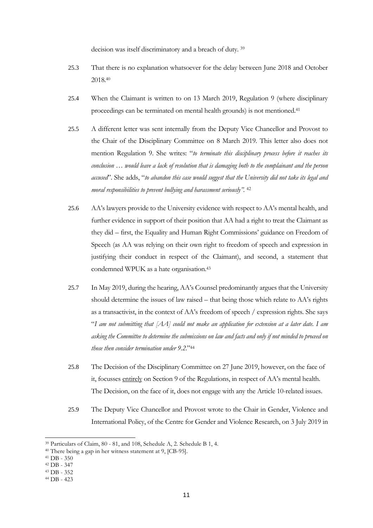decision was itself discriminatory and a breach of duty. <sup>39</sup>

- 25.3 That there is no explanation whatsoever for the delay between June 2018 and October 2018. 40
- 25.4 When the Claimant is written to on 13 March 2019, Regulation 9 (where disciplinary proceedings can be terminated on mental health grounds) is not mentioned. 41
- 25.5 A different letter was sent internally from the Deputy Vice Chancellor and Provost to the Chair of the Disciplinary Committee on 8 March 2019. This letter also does not mention Regulation 9. She writes: "*to terminate this disciplinary process before it reaches its conclusion … would leave a lack of resolution that is damaging both to the complainant and the person accused*". She adds, "*to abandon this case would suggest that the University did not take its legal and moral responsibilities to prevent bullying and harassment seriously".* <sup>42</sup>
- 25.6 AA's lawyers provide to the University evidence with respect to AA's mental health, and further evidence in support of their position that AA had a right to treat the Claimant as they did – first, the Equality and Human Right Commissions' guidance on Freedom of Speech (as AA was relying on their own right to freedom of speech and expression in justifying their conduct in respect of the Claimant), and second, a statement that condemned WPUK as a hate organisation.<sup>43</sup>
- 25.7 In May 2019, during the hearing, AA's Counsel predominantly argues that the University should determine the issues of law raised – that being those which relate to AA's rights as a transactivist, in the context of AA's freedom of speech / expression rights. She says "*I am not submitting that [AA] could not make an application for extension at a later date. I am asking the Committee to determine the submissions on law and facts and only if not minded to proceed on those then consider termination under 9.2*."<sup>44</sup>
- 25.8 The Decision of the Disciplinary Committee on 27 June 2019, however, on the face of it, focusses entirely on Section 9 of the Regulations, in respect of AA's mental health. The Decision, on the face of it, does not engage with any the Article 10-related issues.
- 25.9 The Deputy Vice Chancellor and Provost wrote to the Chair in Gender, Violence and International Policy, of the Centre for Gender and Violence Research, on 3 July 2019 in

<sup>39</sup> Particulars of Claim, 80 - 81, and 108, Schedule A, 2. Schedule B 1, 4.

<sup>40</sup> There being a gap in her witness statement at 9, [CB-95].

<sup>41</sup> DB - 350

<sup>42</sup> DB - 347

<sup>43</sup> DB - 352

<sup>44</sup> DB - 423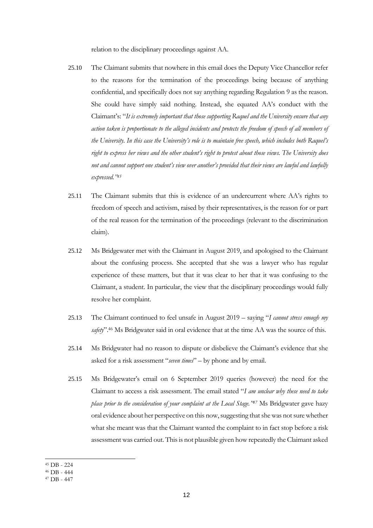relation to the disciplinary proceedings against AA.

- 25.10 The Claimant submits that nowhere in this email does the Deputy Vice Chancellor refer to the reasons for the termination of the proceedings being because of anything confidential, and specifically does not say anything regarding Regulation 9 as the reason. She could have simply said nothing. Instead, she equated AA's conduct with the Claimant's: "*It is extremely important that those supporting Raquel and the University ensure that any action taken is proportionate to the alleged incidents and protects the freedom of speech of all members of the University. In this case the University's role is to maintain free speech, which includes both Raquel's right to express her views and the other student's right to protest about those views. The University does not and cannot support one student's view over another's provided that their views are lawful and lawfully expressed."<sup>45</sup>*
- 25.11 The Claimant submits that this is evidence of an undercurrent where AA's rights to freedom of speech and activism, raised by their representatives, is the reason for or part of the real reason for the termination of the proceedings (relevant to the discrimination claim).
- 25.12 Ms Bridgewater met with the Claimant in August 2019, and apologised to the Claimant about the confusing process. She accepted that she was a lawyer who has regular experience of these matters, but that it was clear to her that it was confusing to the Claimant, a student. In particular, the view that the disciplinary proceedings would fully resolve her complaint.
- 25.13 The Claimant continued to feel unsafe in August 2019 saying "*I cannot stress enough my*  safety".<sup>46</sup> Ms Bridgwater said in oral evidence that at the time AA was the source of this.
- 25.14 Ms Bridgwater had no reason to dispute or disbelieve the Claimant's evidence that she asked for a risk assessment "*seven times*" – by phone and by email.
- 25.15 Ms Bridgewater's email on 6 September 2019 queries (however) the need for the Claimant to access a risk assessment. The email stated "*I am unclear why these need to take place prior to the consideration of your complaint at the Local Stage." <sup>47</sup>* Ms Bridgwater gave hazy oral evidence about her perspective on this now, suggesting that she was not sure whether what she meant was that the Claimant wanted the complaint to in fact stop before a risk assessment was carried out. This is not plausible given how repeatedly the Claimant asked

<sup>45</sup> DB - 224

<sup>46</sup> DB - 444

<sup>47</sup> DB - 447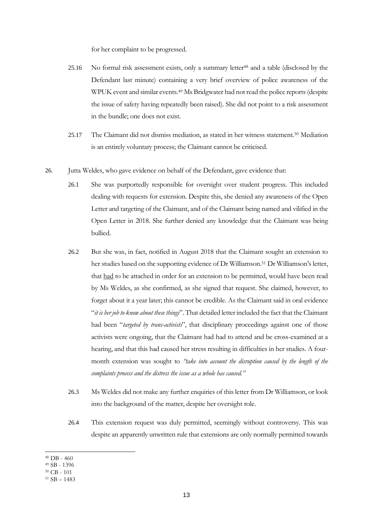for her complaint to be progressed.

- 25.16 No formal risk assessment exists, only a summary letter<sup>48</sup> and a table (disclosed by the Defendant last minute) containing a very brief overview of police awareness of the WPUK event and similar events. <sup>49</sup> Ms Bridgwater had not read the police reports(despite the issue of safety having repeatedly been raised). She did not point to a risk assessment in the bundle; one does not exist.
- 25.17 The Claimant did not dismiss mediation, as stated in her witness statement.<sup>50</sup> Mediation is an entirely voluntary process; the Claimant cannot be criticised.
- 26. Jutta Weldes, who gave evidence on behalf of the Defendant, gave evidence that:
	- 26.1 She was purportedly responsible for oversight over student progress. This included dealing with requests for extension. Despite this, she denied any awareness of the Open Letter and targeting of the Claimant, and of the Claimant being named and vilified in the Open Letter in 2018. She further denied any knowledge that the Claimant was being bullied.
	- 26.2 But she was, in fact, notified in August 2018 that the Claimant sought an extension to her studies based on the supporting evidence of Dr Williamson.<sup>51</sup> Dr Williamson's letter, that had to be attached in order for an extension to be permitted, would have been read by Ms Weldes, as she confirmed, as she signed that request. She claimed, however, to forget about it a year later; this cannot be credible. As the Claimant said in oral evidence "*it is her job to know about these things*". That detailed letter included the fact that the Claimant had been "*targeted by trans-activists*", that disciplinary proceedings against one of those activists were ongoing, that the Claimant had had to attend and be cross-examined at a hearing, and that this had caused her stress resulting in difficulties in her studies. A fourmonth extension was sought to *"take into account the disruption caused by the length of the complaints process and the distress the issue as a whole has caused."*
	- 26.3 Ms Weldes did not make any further enquiries of this letter from Dr Williamson, or look into the background of the matter, despite her oversight role.
	- 26.4 This extension request was duly permitted, seemingly without controversy. This was despite an apparently unwritten rule that extensions are only normally permitted towards

<sup>48</sup> DB - 460

<sup>49</sup> SB - 1396

<sup>50</sup> CB - 101

 $51$  SB  $- 1483$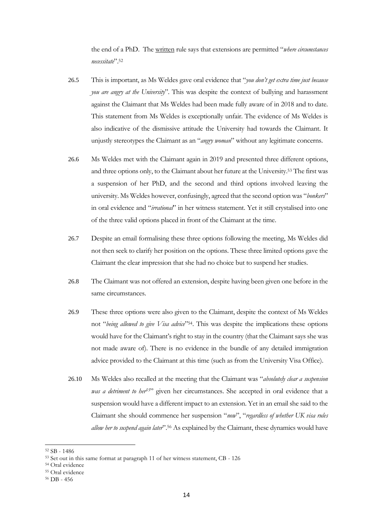the end of a PhD. The written rule says that extensions are permitted "*where circumstances necessitate*".<sup>52</sup>

- 26.5 This is important, as Ms Weldes gave oral evidence that "*you don't get extra time just because you are angry at the University*". This was despite the context of bullying and harassment against the Claimant that Ms Weldes had been made fully aware of in 2018 and to date. This statement from Ms Weldes is exceptionally unfair. The evidence of Ms Weldes is also indicative of the dismissive attitude the University had towards the Claimant. It unjustly stereotypes the Claimant as an "*angry woman*" without any legitimate concerns.
- 26.6 Ms Weldes met with the Claimant again in 2019 and presented three different options, and three options only, to the Claimant about her future at the University.<sup>53</sup> The first was a suspension of her PhD, and the second and third options involved leaving the university. Ms Weldes however, confusingly, agreed that the second option was "*bonkers*" in oral evidence and "*irrational*" in her witness statement. Yet it still crystalised into one of the three valid options placed in front of the Claimant at the time.
- 26.7 Despite an email formalising these three options following the meeting, Ms Weldes did not then seek to clarify her position on the options. These three limited options gave the Claimant the clear impression that she had no choice but to suspend her studies.
- 26.8 The Claimant was not offered an extension, despite having been given one before in the same circumstances.
- 26.9 These three options were also given to the Claimant, despite the context of Ms Weldes not "*being allowed to give Visa advice*"54. This was despite the implications these options would have for the Claimant's right to stay in the country (that the Claimant says she was not made aware of). There is no evidence in the bundle of any detailed immigration advice provided to the Claimant at this time (such as from the University Visa Office).
- 26.10 Ms Weldes also recalled at the meeting that the Claimant was "*absolutely clear a suspension was a detriment to her55*" given her circumstances. She accepted in oral evidence that a suspension would have a different impact to an extension. Yet in an email she said to the Claimant she should commence her suspension "*now*", "*regardless of whether UK visa rules allow her to suspend again later*".<sup>56</sup> As explained by the Claimant, these dynamics would have

- <sup>54</sup> Oral evidence
- <sup>55</sup> Oral evidence

<sup>52</sup> SB - 1486

<sup>53</sup> Set out in this same format at paragraph 11 of her witness statement, CB - 126

<sup>56</sup> DB - 456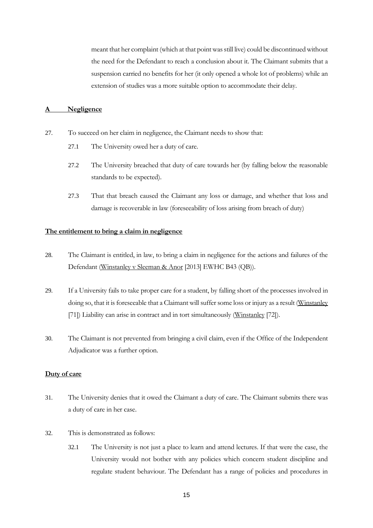meant that her complaint (which at that point was still live) could be discontinued without the need for the Defendant to reach a conclusion about it. The Claimant submits that a suspension carried no benefits for her (it only opened a whole lot of problems) while an extension of studies was a more suitable option to accommodate their delay.

# **A Negligence**

- 27. To succeed on her claim in negligence, the Claimant needs to show that:
	- 27.1 The University owed her a duty of care.
	- 27.2 The University breached that duty of care towards her (by falling below the reasonable standards to be expected).
	- 27.3 That that breach caused the Claimant any loss or damage, and whether that loss and damage is recoverable in law (foreseeability of loss arising from breach of duty)

#### **The entitlement to bring a claim in negligence**

- 28. The Claimant is entitled, in law, to bring a claim in negligence for the actions and failures of the Defendant (Winstanley v Sleeman & Anor [2013] EWHC B43 (QB)).
- 29. If a University fails to take proper care for a student, by falling short of the processes involved in doing so, that it is foreseeable that a Claimant will suffer some loss or injury as a result (Winstanley [71]) Liability can arise in contract and in tort simultaneously (Winstanley [72]).
- 30. The Claimant is not prevented from bringing a civil claim, even if the Office of the Independent Adjudicator was a further option.

# **Duty of care**

- 31. The University denies that it owed the Claimant a duty of care. The Claimant submits there was a duty of care in her case.
- 32. This is demonstrated as follows:
	- 32.1 The University is not just a place to learn and attend lectures. If that were the case, the University would not bother with any policies which concern student discipline and regulate student behaviour. The Defendant has a range of policies and procedures in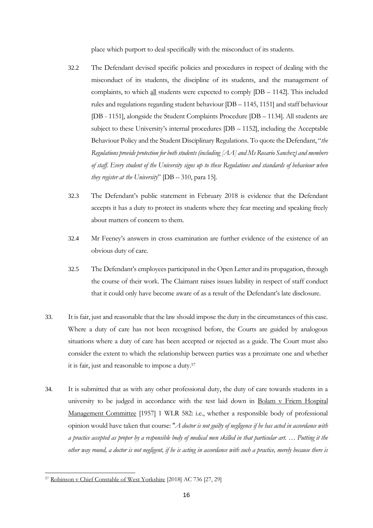place which purport to deal specifically with the misconduct of its students.

- 32.2 The Defendant devised specific policies and procedures in respect of dealing with the misconduct of its students, the discipline of its students, and the management of complaints, to which all students were expected to comply [DB – 1142]. This included rules and regulations regarding student behaviour [DB – 1145, 1151] and staff behaviour [DB - 1151], alongside the Student Complaints Procedure [DB – 1134]. All students are subject to these University's internal procedures [DB – 1152], including the Acceptable Behaviour Policy and the Student Disciplinary Regulations. To quote the Defendant, "*the Regulations provide protection for both students (including [AA] and Ms Rosario Sanchez) and members of staff. Every student of the University signs up to these Regulations and standards of behaviour when they register at the University*" [DB – 310, para 15].
- 32.3 The Defendant's public statement in February 2018 is evidence that the Defendant accepts it has a duty to protect its students where they fear meeting and speaking freely about matters of concern to them.
- 32.4 Mr Feeney's answers in cross examination are further evidence of the existence of an obvious duty of care.
- 32.5 The Defendant's employees participated in the Open Letter and its propagation, through the course of their work. The Claimant raises issues liability in respect of staff conduct that it could only have become aware of as a result of the Defendant's late disclosure.
- 33. It is fair, just and reasonable that the law should impose the duty in the circumstances of this case. Where a duty of care has not been recognised before, the Courts are guided by analogous situations where a duty of care has been accepted or rejected as a guide. The Court must also consider the extent to which the relationship between parties was a proximate one and whether it is fair, just and reasonable to impose a duty.<sup>57</sup>
- 34. It is submitted that as with any other professional duty, the duty of care towards students in a university to be judged in accordance with the test laid down in Bolam v Friern Hospital Management Committee [1957] 1 WLR 582: i.e., whether a responsible body of professional opinion would have taken that course: "*A doctor is not guilty of negligence if he has acted in accordance with a practice accepted as proper by a responsible body of medical men skilled in that particular art. … Putting it the other way round, a doctor is not negligent, if he is acting in accordance with such a practice, merely because there is*

<sup>57</sup> Robinson v Chief Constable of West Yorkshire [2018] AC 736 [27, 29]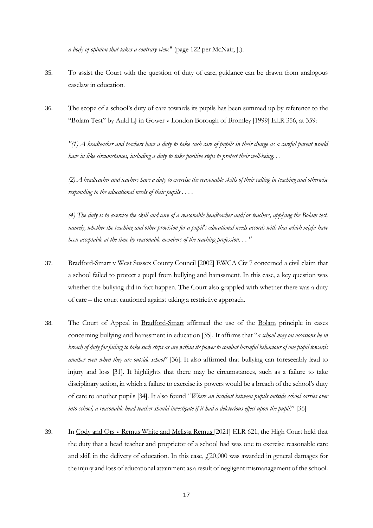*a body of opinion that takes a contrary view*." (page 122 per McNair, J.).

- 35. To assist the Court with the question of duty of care, guidance can be drawn from analogous caselaw in education.
- 36. The scope of a school's duty of care towards its pupils has been summed up by reference to the "Bolam Test" by Auld LJ in Gower v London Borough of Bromley [1999] ELR 356, at 359:

*"(1) A headteacher and teachers have a duty to take such care of pupils in their charge as a careful parent would have in like circumstances, including a duty to take positive steps to protect their well-being. . .* 

*(2) A headteacher and teachers have a duty to exercise the reasonable skills of their calling in teaching and otherwise responding to the educational needs of their pupils . . . .* 

*(4) The duty is to exercise the skill and care of a reasonable headteacher and/or teachers, applying the Bolam test, namely, whether the teaching and other provision for a pupil's educational needs accords with that which might have been acceptable at the time by reasonable members of the teaching profession. . . "*

- 37. Bradford-Smart v West Sussex County Council [2002] EWCA Civ 7 concerned a civil claim that a school failed to protect a pupil from bullying and harassment. In this case, a key question was whether the bullying did in fact happen. The Court also grappled with whether there was a duty of care – the court cautioned against taking a restrictive approach.
- 38. The Court of Appeal in Bradford-Smart affirmed the use of the Bolam principle in cases concerning bullying and harassment in education [35]. It affirms that "*a school may on occasions be in breach of duty for failing to take such steps as are within its power to combat harmful behaviour of one pupil towards another even when they are outside school*" [36]. It also affirmed that bullying can foreseeably lead to injury and loss [31]. It highlights that there may be circumstances, such as a failure to take disciplinary action, in which a failure to exercise its powers would be a breach of the school's duty of care to another pupils [34]. It also found "*Where an incident between pupils outside school carries over into school, a reasonable head teacher should investigate if it had a deleterious effect upon the pupil*." [36]
- 39. In Cody and Ors v Remus White and Melissa Remus [2021] ELR 621, the High Court held that the duty that a head teacher and proprietor of a school had was one to exercise reasonable care and skill in the delivery of education. In this case,  $f(20,000)$  was awarded in general damages for the injury and loss of educational attainment as a result of negligent mismanagement of the school.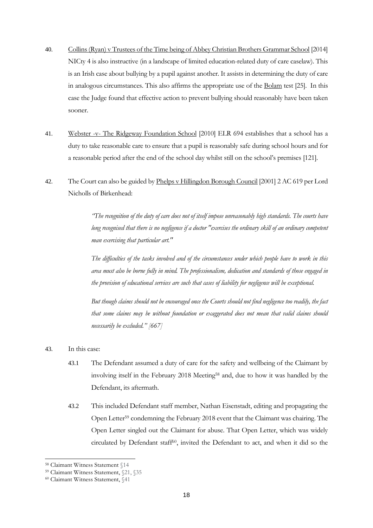- 40. Collins (Ryan) v Trustees of the Time being of Abbey Christian Brothers Grammar School [2014] NICty 4 is also instructive (in a landscape of limited education-related duty of care caselaw). This is an Irish case about bullying by a pupil against another. It assists in determining the duty of care in analogous circumstances. This also affirms the appropriate use of the Bolam test [25]. In this case the Judge found that effective action to prevent bullying should reasonably have been taken sooner.
- 41. Webster -v- The Ridgeway Foundation School [2010] ELR 694 establishes that a school has a duty to take reasonable care to ensure that a pupil is reasonably safe during school hours and for a reasonable period after the end of the school day whilst still on the school's premises [121].
- 42. The Court can also be guided by Phelps v Hillingdon Borough Council [2001] 2 AC 619 per Lord Nicholls of Birkenhead:

*"The recognition of the duty of care does not of itself impose unreasonably high standards. The courts have long recognised that there is no negligence if a doctor "exercises the ordinary skill of an ordinary competent man exercising that particular art."* 

*The difficulties of the tasks involved and of the circumstances under which people have to work in this area must also be borne fully in mind. The professionalism, dedication and standards of those engaged in the provision of educational services are such that cases of liability for negligence will be exceptional.* 

*But though claims should not be encouraged once the Courts should not find negligence too readily, the fact that some claims may be without foundation or exaggerated does not mean that valid claims should necessarily be excluded." [667]*

- 43. In this case:
	- 43.1 The Defendant assumed a duty of care for the safety and wellbeing of the Claimant by involving itself in the February 2018 Meeting<sup>58</sup> and, due to how it was handled by the Defendant, its aftermath.
	- 43.2 This included Defendant staff member, Nathan Eisenstadt, editing and propagating the Open Letter <sup>59</sup> condemning the February 2018 event that the Claimant was chairing. The Open Letter singled out the Claimant for abuse. That Open Letter, which was widely circulated by Defendant staff60, invited the Defendant to act, and when it did so the

<sup>58</sup> Claimant Witness Statement §14

<sup>59</sup> Claimant Witness Statement, §21, §35

<sup>60</sup> Claimant Witness Statement, §41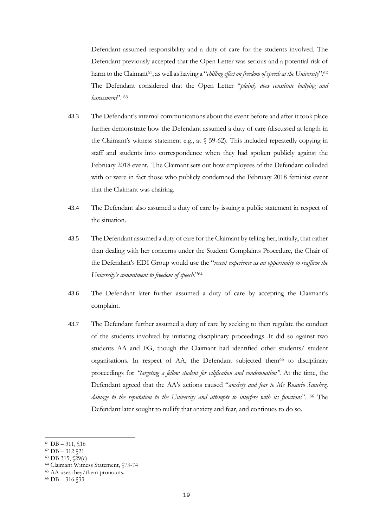Defendant assumed responsibility and a duty of care for the students involved. The Defendant previously accepted that the Open Letter was serious and a potential risk of harm to the Claimant61, as well as having a "*chilling effect on freedom of speech at the University*".<sup>62</sup> The Defendant considered that the Open Letter "*plainly does constitute bullying and harassment*". <sup>63</sup>

- 43.3 The Defendant's internal communications about the event before and after it took place further demonstrate how the Defendant assumed a duty of care (discussed at length in the Claimant's witness statement e.g., at § 59-62). This included repeatedly copying in staff and students into correspondence when they had spoken publicly against the February 2018 event. The Claimant sets out how employees of the Defendant colluded with or were in fact those who publicly condemned the February 2018 feminist event that the Claimant was chairing.
- 43.4 The Defendant also assumed a duty of care by issuing a public statement in respect of the situation.
- 43.5 The Defendant assumed a duty of care for the Claimant by telling her, initially, that rather than dealing with her concerns under the Student Complaints Procedure, the Chair of the Defendant's EDI Group would use the "*recent experience as an opportunity to reaffirm the University's commitment to freedom of speech*."<sup>64</sup>
- 43.6 The Defendant later further assumed a duty of care by accepting the Claimant's complaint.
- 43.7 The Defendant further assumed a duty of care by seeking to then regulate the conduct of the students involved by initiating disciplinary proceedings. It did so against two students AA and FG, though the Claimant had identified other students/ student organisations. In respect of AA, the Defendant subjected them<sup>65</sup> to disciplinary proceedings for *"targeting a fellow student for vilification and condemnation".* At the time, the Defendant agreed that the AA's actions caused "*anxiety and fear to Ms Rosario Sanchez, damage to the reputation to the University and attempts to interfere with its functions*". <sup>66</sup> The Defendant later sought to nullify that anxiety and fear, and continues to do so.

<sup>61</sup> DB – 311, §16

<sup>62</sup> DB – 312 §21

<sup>63</sup> DB 315, §29(c)

<sup>64</sup> Claimant Witness Statement, §73-74

<sup>65</sup> AA uses they/them pronouns.

<sup>66</sup> DB – 316 §33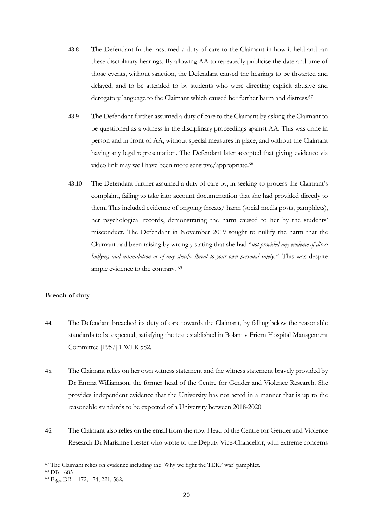- 43.8 The Defendant further assumed a duty of care to the Claimant in how it held and ran these disciplinary hearings. By allowing AA to repeatedly publicise the date and time of those events, without sanction, the Defendant caused the hearings to be thwarted and delayed, and to be attended to by students who were directing explicit abusive and derogatory language to the Claimant which caused her further harm and distress.<sup>67</sup>
- 43.9 The Defendant further assumed a duty of care to the Claimant by asking the Claimant to be questioned as a witness in the disciplinary proceedings against AA. This was done in person and in front of AA, without special measures in place, and without the Claimant having any legal representation. The Defendant later accepted that giving evidence via video link may well have been more sensitive/appropriate.<sup>68</sup>
- 43.10 The Defendant further assumed a duty of care by, in seeking to process the Claimant's complaint, failing to take into account documentation that she had provided directly to them. This included evidence of ongoing threats/ harm (social media posts, pamphlets), her psychological records, demonstrating the harm caused to her by the students' misconduct. The Defendant in November 2019 sought to nullify the harm that the Claimant had been raising by wrongly stating that she had "*not provided any evidence of direct bullying and intimidation or of any specific threat to your own personal safety."* This was despite ample evidence to the contrary. <sup>69</sup>

# **Breach of duty**

- 44. The Defendant breached its duty of care towards the Claimant, by falling below the reasonable standards to be expected, satisfying the test established in Bolam v Friern Hospital Management Committee [1957] 1 WLR 582.
- 45. The Claimant relies on her own witness statement and the witness statement bravely provided by Dr Emma Williamson, the former head of the Centre for Gender and Violence Research. She provides independent evidence that the University has not acted in a manner that is up to the reasonable standards to be expected of a University between 2018-2020.
- 46. The Claimant also relies on the email from the now Head of the Centre for Gender and Violence Research Dr Marianne Hester who wrote to the Deputy Vice-Chancellor, with extreme concerns

<sup>67</sup> The Claimant relies on evidence including the 'Why we fight the TERF war' pamphlet.

<sup>68</sup> DB - 685

<sup>69</sup> E.g., DB – 172, 174, 221, 582.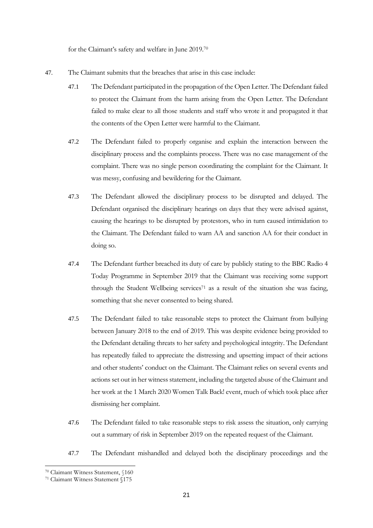for the Claimant's safety and welfare in June 2019.<sup>70</sup>

- 47. The Claimant submits that the breaches that arise in this case include:
	- 47.1 The Defendant participated in the propagation of the Open Letter. The Defendant failed to protect the Claimant from the harm arising from the Open Letter. The Defendant failed to make clear to all those students and staff who wrote it and propagated it that the contents of the Open Letter were harmful to the Claimant.
	- 47.2 The Defendant failed to properly organise and explain the interaction between the disciplinary process and the complaints process. There was no case management of the complaint. There was no single person coordinating the complaint for the Claimant. It was messy, confusing and bewildering for the Claimant.
	- 47.3 The Defendant allowed the disciplinary process to be disrupted and delayed. The Defendant organised the disciplinary hearings on days that they were advised against, causing the hearings to be disrupted by protestors, who in turn caused intimidation to the Claimant. The Defendant failed to warn AA and sanction AA for their conduct in doing so.
	- 47.4 The Defendant further breached its duty of care by publicly stating to the BBC Radio 4 Today Programme in September 2019 that the Claimant was receiving some support through the Student Wellbeing services<sup> $71$ </sup> as a result of the situation she was facing, something that she never consented to being shared.
	- 47.5 The Defendant failed to take reasonable steps to protect the Claimant from bullying between January 2018 to the end of 2019. This was despite evidence being provided to the Defendant detailing threats to her safety and psychological integrity. The Defendant has repeatedly failed to appreciate the distressing and upsetting impact of their actions and other students' conduct on the Claimant. The Claimant relies on several events and actions set out in her witness statement, including the targeted abuse of the Claimant and her work at the 1 March 2020 Women Talk Back! event, much of which took place after dismissing her complaint.
	- 47.6 The Defendant failed to take reasonable steps to risk assess the situation, only carrying out a summary of risk in September 2019 on the repeated request of the Claimant.
	- 47.7 The Defendant mishandled and delayed both the disciplinary proceedings and the

<sup>70</sup> Claimant Witness Statement, §160

<sup>71</sup> Claimant Witness Statement §175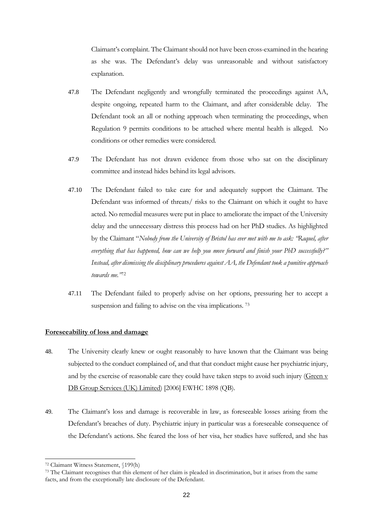Claimant's complaint. The Claimant should not have been cross-examined in the hearing as she was. The Defendant's delay was unreasonable and without satisfactory explanation.

- 47.8 The Defendant negligently and wrongfully terminated the proceedings against AA, despite ongoing, repeated harm to the Claimant, and after considerable delay. The Defendant took an all or nothing approach when terminating the proceedings, when Regulation 9 permits conditions to be attached where mental health is alleged. No conditions or other remedies were considered.
- 47.9 The Defendant has not drawn evidence from those who sat on the disciplinary committee and instead hides behind its legal advisors.
- 47.10 The Defendant failed to take care for and adequately support the Claimant. The Defendant was informed of threats/ risks to the Claimant on which it ought to have acted. No remedial measures were put in place to ameliorate the impact of the University delay and the unnecessary distress this process had on her PhD studies. As highlighted by the Claimant "*Nobody from the University of Bristol has ever met with me to ask: "Raquel, after everything that has happened, how can we help you move forward and finish your PhD successfully?" Instead, after dismissing the disciplinary procedures against AA, the Defendant took a punitive approach towards me."*<sup>72</sup>
- 47.11 The Defendant failed to properly advise on her options, pressuring her to accept a suspension and failing to advise on the visa implications.<sup>73</sup>

# **Foreseeability of loss and damage**

- 48. The University clearly knew or ought reasonably to have known that the Claimant was being subjected to the conduct complained of, and that that conduct might cause her psychiatric injury, and by the exercise of reasonable care they could have taken steps to avoid such injury ( $\frac{1}{\text{Green v}}$ DB Group Services (UK) Limited) [2006] EWHC 1898 (QB).
- 49. The Claimant's loss and damage is recoverable in law, as foreseeable losses arising from the Defendant's breaches of duty. Psychiatric injury in particular was a foreseeable consequence of the Defendant's actions. She feared the loss of her visa, her studies have suffered, and she has

<sup>72</sup> Claimant Witness Statement, §199(h)

<sup>&</sup>lt;sup>73</sup> The Claimant recognises that this element of her claim is pleaded in discrimination, but it arises from the same facts, and from the exceptionally late disclosure of the Defendant.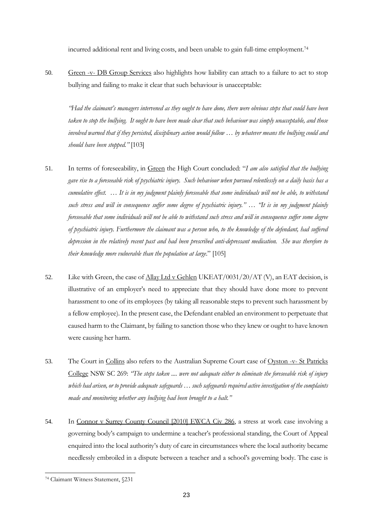incurred additional rent and living costs, and been unable to gain full-time employment.<sup>74</sup>

50. Green -v- DB Group Services also highlights how liability can attach to a failure to act to stop bullying and failing to make it clear that such behaviour is unacceptable:

*"Had the claimant's managers intervened as they ought to have done, there were obvious steps that could have been taken to stop the bullying. It ought to have been made clear that such behaviour was simply unacceptable, and those involved warned that if they persisted, disciplinary action would follow … by whatever means the bullying could and should have been stopped."* [103]

- 51. In terms of foreseeability, in Green the High Court concluded: "*I am also satisfied that the bullying gave rise to a foreseeable risk of psychiatric injury. Such behaviour when pursued relentlessly on a daily basis has a cumulative effect.* ... It is in my judgment plainly foreseeable that some individuals will not be able, to withstand *such stress and will in consequence suffer some degree of psychiatric injury." … "It is in my judgment plainly foreseeable that some individuals will not be able to withstand such stress and will in consequence suffer some degree of psychiatric injury. Furthermore the claimant was a person who, to the knowledge of the defendant, had suffered depression in the relatively recent past and had been prescribed anti-depressant medication. She was therefore to their knowledge more vulnerable than the population at large*." [105]
- 52. Like with Green, the case of Allay Ltd v Gehlen UKEAT/0031/20/AT (V), an EAT decision, is illustrative of an employer's need to appreciate that they should have done more to prevent harassment to one of its employees (by taking all reasonable steps to prevent such harassment by a fellow employee). In the present case, the Defendant enabled an environment to perpetuate that caused harm to the Claimant, by failing to sanction those who they knew or ought to have known were causing her harm.
- 53. The Court in Collins also refers to the Australian Supreme Court case of Oyston -v- St Patricks College NSW SC 269: *"The steps taken .... were not adequate either to eliminate the foreseeable risk of injury which had arisen, or to provide adequate safeguards … such safeguards required active investigation of the complaints made and monitoring whether any bullying had been brought to a halt."*
- 54. In Connor v Surrey County Council [2010] EWCA Civ 286, a stress at work case involving a governing body's campaign to undermine a teacher's professional standing, the Court of Appeal enquired into the local authority's duty of care in circumstances where the local authority became needlessly embroiled in a dispute between a teacher and a school's governing body. The case is

<sup>74</sup> Claimant Witness Statement, §231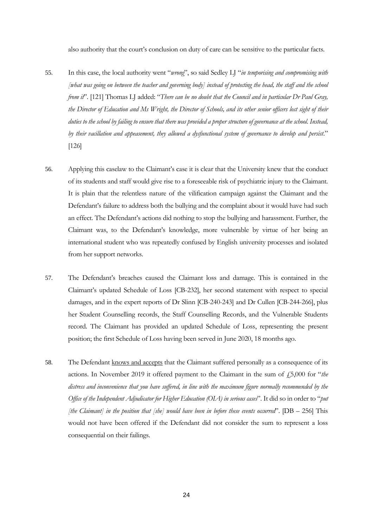also authority that the court's conclusion on duty of care can be sensitive to the particular facts.

- 55. In this case, the local authority went "*wrong*", so said Sedley LJ "*in temporising and compromising with [what was going on between the teacher and governing body] instead of protecting the head, the staff and the school from it*". [121] Thomas LJ added: "*There can be no doubt that the Council and in particular Dr Paul Gray, the Director of Education and Ms Wright, the Director of Schools, and its other senior officers lost sight of their duties to the school by failing to ensure that there was provided a proper structure of governance at the school. Instead, by their vacillation and appeasement, they allowed a dysfunctional system of governance to develop and persist*." [126]
- 56. Applying this caselaw to the Claimant's case it is clear that the University knew that the conduct of its students and staff would give rise to a foreseeable risk of psychiatric injury to the Claimant. It is plain that the relentless nature of the vilification campaign against the Claimant and the Defendant's failure to address both the bullying and the complaint about it would have had such an effect. The Defendant's actions did nothing to stop the bullying and harassment. Further, the Claimant was, to the Defendant's knowledge, more vulnerable by virtue of her being an international student who was repeatedly confused by English university processes and isolated from her support networks.
- 57. The Defendant's breaches caused the Claimant loss and damage. This is contained in the Claimant's updated Schedule of Loss [CB-232], her second statement with respect to special damages, and in the expert reports of Dr Slinn [CB-240-243] and Dr Cullen [CB-244-266], plus her Student Counselling records, the Staff Counselling Records, and the Vulnerable Students record. The Claimant has provided an updated Schedule of Loss, representing the present position; the first Schedule of Loss having been served in June 2020, 18 months ago.
- 58. The Defendant knows and accepts that the Claimant suffered personally as a consequence of its actions. In November 2019 it offered payment to the Claimant in the sum of  $\ddot{\rm 15,000}$  for "*the distress and inconvenience that you have suffered, in line with the maximum figure normally recommended by the Office of the Independent Adjudicator for Higher Education (OIA) in serious cases*". It did so in order to "*put [the Claimant] in the position that [she] would have been in before these events occurred*". [DB – 256] This would not have been offered if the Defendant did not consider the sum to represent a loss consequential on their failings.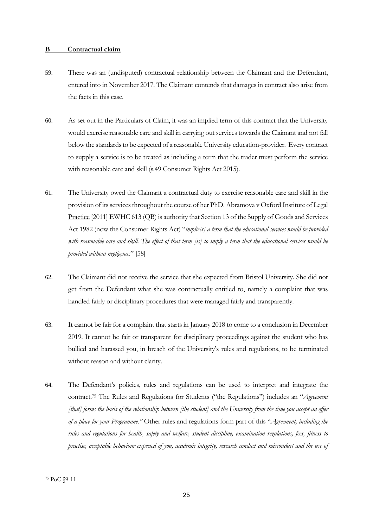# **B Contractual claim**

- 59. There was an (undisputed) contractual relationship between the Claimant and the Defendant, entered into in November 2017. The Claimant contends that damages in contract also arise from the facts in this case.
- 60. As set out in the Particulars of Claim, it was an implied term of this contract that the University would exercise reasonable care and skill in carrying out services towards the Claimant and not fall below the standards to be expected of a reasonable University education-provider. Every contract to supply a service is to be treated as including a term that the trader must perform the service with reasonable care and skill (s.49 Consumer Rights Act 2015).
- 61. The University owed the Claimant a contractual duty to exercise reasonable care and skill in the provision of its services throughout the course of her PhD. Abramova v Oxford Institute of Legal Practice [2011] EWHC 613 (QB) is authority that Section 13 of the Supply of Goods and Services Act 1982 (now the Consumer Rights Act) "*implie[s] a term that the educational services would be provided with reasonable care and skill. The effect of that term [is] to imply a term that the educational services would be provided without negligence*." [58]
- 62. The Claimant did not receive the service that she expected from Bristol University. She did not get from the Defendant what she was contractually entitled to, namely a complaint that was handled fairly or disciplinary procedures that were managed fairly and transparently.
- 63. It cannot be fair for a complaint that starts in January 2018 to come to a conclusion in December 2019. It cannot be fair or transparent for disciplinary proceedings against the student who has bullied and harassed you, in breach of the University's rules and regulations, to be terminated without reason and without clarity.
- 64. The Defendant's policies, rules and regulations can be used to interpret and integrate the contract. <sup>75</sup> The Rules and Regulations for Students ("the Regulations") includes an "*Agreement [that] forms the basis of the relationship between [the student] and the University from the time you accept an offer of a place for your Programme."* Other rules and regulations form part of this "*Agreement, including the rules and regulations for health, safety and welfare, student discipline, examination regulations, fees, fitness to practise, acceptable behaviour expected of you, academic integrity, research conduct and misconduct and the use of*

<sup>75</sup> PoC §9-11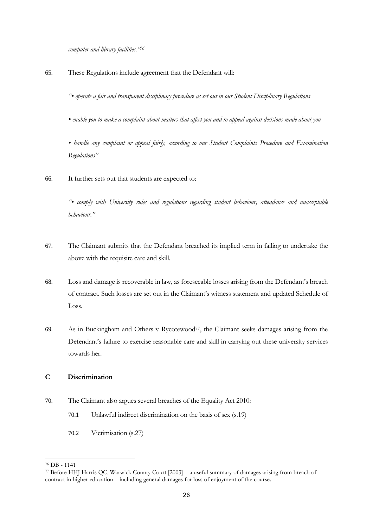*computer and library facilities."<sup>76</sup>*

65. These Regulations include agreement that the Defendant will:

*"• operate a fair and transparent disciplinary procedure as set out in our Student Disciplinary Regulations*

*• enable you to make a complaint about matters that affect you and to appeal against decisions made about you* 

*• handle any complaint or appeal fairly, according to our Student Complaints Procedure and Examination Regulations"*

66. It further sets out that students are expected to:

*"• comply with University rules and regulations regarding student behaviour, attendance and unacceptable behaviour."*

- 67. The Claimant submits that the Defendant breached its implied term in failing to undertake the above with the requisite care and skill.
- 68. Loss and damage is recoverable in law, as foreseeable losses arising from the Defendant's breach of contract. Such losses are set out in the Claimant's witness statement and updated Schedule of Loss.
- 69. As in Buckingham and Others v Rycotewood<sup>77</sup>, the Claimant seeks damages arising from the Defendant's failure to exercise reasonable care and skill in carrying out these university services towards her.

# **C Discrimination**

- 70. The Claimant also argues several breaches of the Equality Act 2010:
	- 70.1 Unlawful indirect discrimination on the basis of sex (s.19)
	- 70.2 Victimisation (s.27)

<sup>76</sup> DB - 1141

<sup>77</sup> Before HHJ Harris QC, Warwick County Court [2003] – a useful summary of damages arising from breach of contract in higher education – including general damages for loss of enjoyment of the course.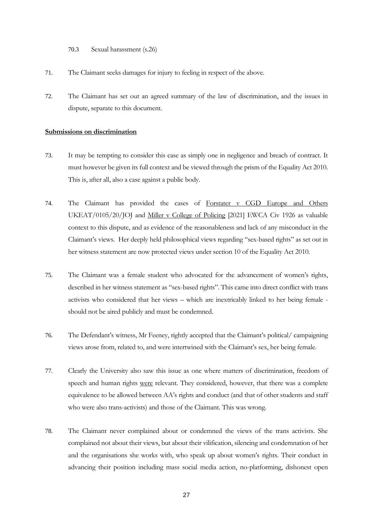70.3 Sexual harassment (s.26)

- 71. The Claimant seeks damages for injury to feeling in respect of the above.
- 72. The Claimant has set out an agreed summary of the law of discrimination, and the issues in dispute, separate to this document.

#### **Submissions on discrimination**

- 73. It may be tempting to consider this case as simply one in negligence and breach of contract. It must however be given its full context and be viewed through the prism of the Equality Act 2010. This is, after all, also a case against a public body.
- 74. The Claimant has provided the cases of Forstater v CGD Europe and Others UKEAT/0105/20/JOJ and Miller v College of Policing [2021] EWCA Civ 1926 as valuable context to this dispute, and as evidence of the reasonableness and lack of any misconduct in the Claimant's views. Her deeply held philosophical views regarding "sex-based rights" as set out in her witness statement are now protected views under section 10 of the Equality Act 2010.
- 75. The Claimant was a female student who advocated for the advancement of women's rights, described in her witness statement as "sex-based rights". This came into direct conflict with trans activists who considered that her views – which are inextricably linked to her being female should not be aired publicly and must be condemned.
- 76. The Defendant's witness, Mr Feeney, rightly accepted that the Claimant's political/ campaigning views arose from, related to, and were intertwined with the Claimant's sex, her being female.
- 77. Clearly the University also saw this issue as one where matters of discrimination, freedom of speech and human rights were relevant. They considered, however, that there was a complete equivalence to be allowed between AA's rights and conduct (and that of other students and staff who were also trans-activists) and those of the Claimant. This was wrong.
- 78. The Claimant never complained about or condemned the views of the trans activists. She complained not about their views, but about their vilification, silencing and condemnation of her and the organisations she works with, who speak up about women's rights. Their conduct in advancing their position including mass social media action, no-platforming, dishonest open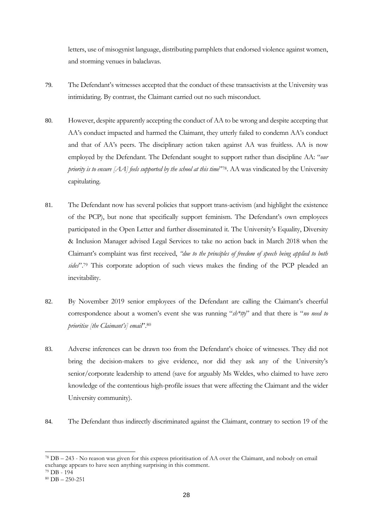letters, use of misogynist language, distributing pamphlets that endorsed violence against women, and storming venues in balaclavas.

- 79. The Defendant's witnesses accepted that the conduct of these transactivists at the University was intimidating. By contrast, the Claimant carried out no such misconduct.
- 80. However, despite apparently accepting the conduct of AA to be wrong and despite accepting that AA's conduct impacted and harmed the Claimant, they utterly failed to condemn AA's conduct and that of AA's peers. The disciplinary action taken against AA was fruitless. AA is now employed by the Defendant. The Defendant sought to support rather than discipline AA: "*our priority is to ensure [AA] feels supported by the school at this time*"78. AA was vindicated by the University capitulating.
- 81. The Defendant now has several policies that support trans-activism (and highlight the existence of the PCP), but none that specifically support feminism. The Defendant's own employees participated in the Open Letter and further disseminated it. The University's Equality, Diversity & Inclusion Manager advised Legal Services to take no action back in March 2018 when the Claimant's complaint was first received, *"due to the principles of freedom of speech being applied to both*  sides".<sup>79</sup> This corporate adoption of such views makes the finding of the PCP pleaded an inevitability.
- 82. By November 2019 senior employees of the Defendant are calling the Claimant's cheerful correspondence about a women's event she was running "*sh\*tty*" and that there is "*no need to prioritise [the Claimant's] email*".<sup>80</sup>
- 83. Adverse inferences can be drawn too from the Defendant's choice of witnesses. They did not bring the decision-makers to give evidence, nor did they ask any of the University's senior/corporate leadership to attend (save for arguably Ms Weldes, who claimed to have zero knowledge of the contentious high-profile issues that were affecting the Claimant and the wider University community).
- 84. The Defendant thus indirectly discriminated against the Claimant, contrary to section 19 of the

<sup>78</sup> DB – 243 - No reason was given for this express prioritisation of AA over the Claimant, and nobody on email exchange appears to have seen anything surprising in this comment.

<sup>79</sup> DB - 194

 $80$  DB  $- 250 - 251$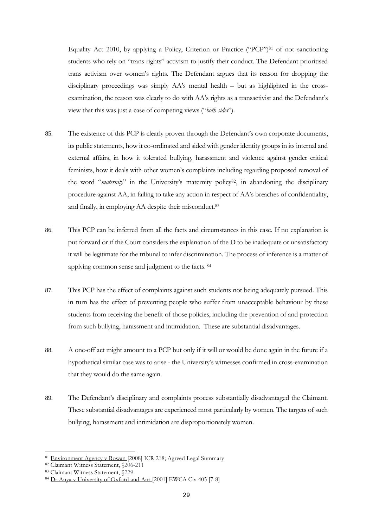Equality Act 2010, by applying a Policy, Criterion or Practice ("PCP")<sup>81</sup> of not sanctioning students who rely on "trans rights" activism to justify their conduct. The Defendant prioritised trans activism over women's rights. The Defendant argues that its reason for dropping the disciplinary proceedings was simply AA's mental health – but as highlighted in the crossexamination, the reason was clearly to do with AA's rights as a transactivist and the Defendant's view that this was just a case of competing views ("*both sides*").

- 85. The existence of this PCP is clearly proven through the Defendant's own corporate documents, its public statements, how it co-ordinated and sided with gender identity groups in its internal and external affairs, in how it tolerated bullying, harassment and violence against gender critical feminists, how it deals with other women's complaints including regarding proposed removal of the word "*maternity*" in the University's maternity policy<sup>82</sup>, in abandoning the disciplinary procedure against AA, in failing to take any action in respect of AA's breaches of confidentiality, and finally, in employing AA despite their misconduct.<sup>83</sup>
- 86. This PCP can be inferred from all the facts and circumstances in this case. If no explanation is put forward or if the Court considers the explanation of the D to be inadequate or unsatisfactory it will be legitimate for the tribunal to infer discrimination. The process of inference is a matter of applying common sense and judgment to the facts. 84
- 87. This PCP has the effect of complaints against such students not being adequately pursued. This in turn has the effect of preventing people who suffer from unacceptable behaviour by these students from receiving the benefit of those policies, including the prevention of and protection from such bullying, harassment and intimidation. These are substantial disadvantages.
- 88. A one-off act might amount to a PCP but only if it will or would be done again in the future if a hypothetical similar case was to arise - the University's witnesses confirmed in cross-examination that they would do the same again.
- 89. The Defendant's disciplinary and complaints process substantially disadvantaged the Claimant. These substantial disadvantages are experienced most particularly by women. The targets of such bullying, harassment and intimidation are disproportionately women.

<sup>81</sup> Environment Agency v Rowan [2008] ICR 218; Agreed Legal Summary

<sup>82</sup> Claimant Witness Statement, §206-211

<sup>83</sup> Claimant Witness Statement, §229

<sup>84</sup> Dr Anya v University of Oxford and Anr [2001] EWCA Civ 405 [7-8]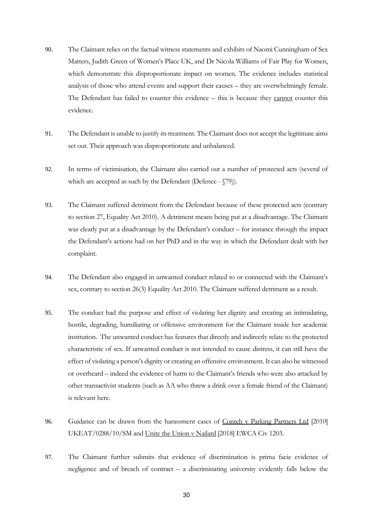- 90. The Claimant relies on the factual witness statements and exhibits of Naomi Cunningham of Sex Matters, Judith Green of Women's Place UK, and Dr Nicola Williams of Fair Play for Women, which demonstrate this disproportionate impact on women. The evidence includes statistical analysis of those who attend events and support their causes – they are overwhelmingly female. The Defendant has failed to counter this evidence – this is because they cannot counter this evidence.
- 91. The Defendant is unable to justify its treatment. The Claimant does not accept the legitimate aims set out. Their approach was disproportionate and unbalanced.
- 92. In terms of victimisation, the Claimant also carried out a number of protected acts (several of which are accepted as such by the Defendant (Defence -  $\degree$ 79)).
- 93. The Claimant suffered detriment from the Defendant because of these protected acts (contrary to section 27, Equality Act 2010). A detriment means being put at a disadvantage. The Claimant was clearly put at a disadvantage by the Defendant's conduct – for instance through the impact the Defendant's actions had on her PhD and in the way in which the Defendant dealt with her complaint.
- 94. The Defendant also engaged in unwanted conduct related to or connected with the Claimant's sex, contrary to section 26(3) Equality Act 2010. The Claimant suffered detriment as a result.
- 95. The conduct had the purpose and effect of violating her dignity and creating an intimidating, hostile, degrading, humiliating or offensive environment for the Claimant inside her academic institution. The unwanted conduct has features that directly and indirectly relate to the protected characteristic of sex. If unwanted conduct is not intended to cause distress, it can still have the effect of violating a person's dignity or creating an offensive environment. It can also be witnessed or overheard – indeed the evidence of harm to the Claimant's friends who were also attacked by other transactivist students (such as AA who threw a drink over a female friend of the Claimant) is relevant here.
- 96. Guidance can be drawn from the harassment cases of Conteh v Parking Partners Ltd [2010] UKEAT/0288/10/SM and Unite the Union v Nailard [2018] EWCA Civ 1203.
- 97. The Claimant further submits that evidence of discrimination is prima facie evidence of negligence and of breach of contract – a discriminating university evidently falls below the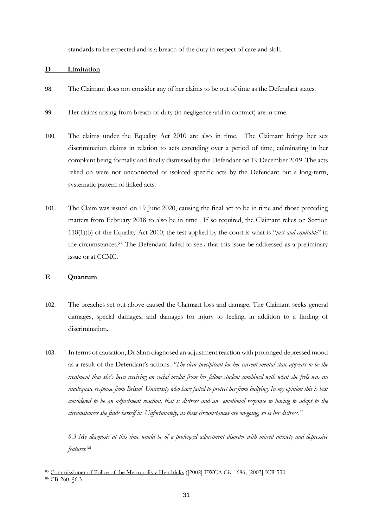standards to be expected and is a breach of the duty in respect of care and skill.

### **D Limitation**

- 98. The Claimant does not consider any of her claims to be out of time as the Defendant states.
- 99. Her claims arising from breach of duty (in negligence and in contract) are in time.
- 100. The claims under the Equality Act 2010 are also in time. The Claimant brings her sex discrimination claims in relation to acts extending over a period of time, culminating in her complaint being formally and finally dismissed by the Defendant on 19 December 2019. The acts relied on were not unconnected or isolated specific acts by the Defendant but a long-term, systematic pattern of linked acts.
- 101. The Claim was issued on 19 June 2020, causing the final act to be in time and those preceding matters from February 2018 to also be in time. If so required, the Claimant relies on Section 118(1)(b) of the Equality Act 2010; the test applied by the court is what is "*just and equitable*" in the circumstances.<sup>85</sup> The Defendant failed to seek that this issue be addressed as a preliminary issue or at CCMC.

#### **E Quantum**

- 102. The breaches set out above caused the Claimant loss and damage. The Claimant seeks general damages, special damages, and damages for injury to feeling, in addition to a finding of discrimination.
- 103. In terms of causation, Dr Slinn diagnosed an adjustment reaction with prolonged depressed mood as a result of the Defendant's actions: *"The clear precipitant for her current mental state appears to be the treatment that she's been receiving on social media from her fellow student combined with what she feels was an inadequate response from Bristol University who have failed to protect her from bullying. In my opinion this is best considered to be an adjustment reaction, that is distress and an emotional response to having to adapt to the circumstances she finds herself in. Unfortunately, as these circumstances are on-going, so is her distress."*

*6.3 My diagnosis at this time would be of a prolonged adjustment disorder with mixed anxiety and depressive features. 86*

<sup>85</sup> Commissioner of Police of the Metropolis v Hendricks ([2002] EWCA Civ 1686; [2003] ICR 530

<sup>86</sup> CB-260, §6.3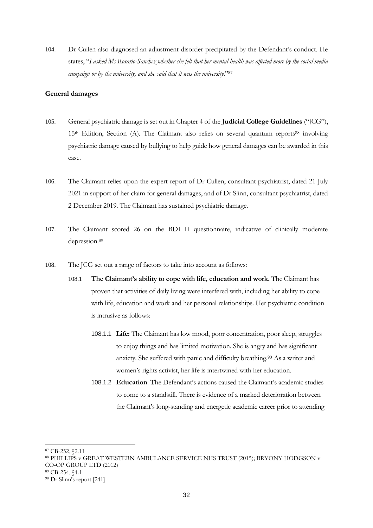104. Dr Cullen also diagnosed an adjustment disorder precipitated by the Defendant's conduct. He states, "*I asked Ms Rosario-Sanchez whether she felt that her mental health was affected more by the social media campaign or by the university, and she said that it was the university*."<sup>87</sup>

### **General damages**

- 105. General psychiatric damage is set out in Chapter 4 of the **Judicial College Guidelines** ("JCG"), 15<sup>th</sup> Edition, Section (A). The Claimant also relies on several quantum reports<sup>88</sup> involving psychiatric damage caused by bullying to help guide how general damages can be awarded in this case.
- 106. The Claimant relies upon the expert report of Dr Cullen, consultant psychiatrist, dated 21 July 2021 in support of her claim for general damages, and of Dr Slinn, consultant psychiatrist, dated 2 December 2019. The Claimant has sustained psychiatric damage.
- 107. The Claimant scored 26 on the BDI II questionnaire, indicative of clinically moderate depression. 89
- 108. The JCG set out a range of factors to take into account as follows:
	- 108.1 **The Claimant's ability to cope with life, education and work.** The Claimant has proven that activities of daily living were interfered with, including her ability to cope with life, education and work and her personal relationships. Her psychiatric condition is intrusive as follows:
		- 108.1.1 **Life:** The Claimant has low mood, poor concentration, poor sleep, struggles to enjoy things and has limited motivation. She is angry and has significant anxiety. She suffered with panic and difficulty breathing.<sup>90</sup> As a writer and women's rights activist, her life is intertwined with her education.
		- 108.1.2 **Education**: The Defendant's actions caused the Claimant's academic studies to come to a standstill. There is evidence of a marked deterioration between the Claimant's long-standing and energetic academic career prior to attending

<sup>87</sup> CB-252, §2.11

<sup>88</sup> PHILLIPS v GREAT WESTERN AMBULANCE SERVICE NHS TRUST (2015); BRYONY HODGSON v CO-OP GROUP LTD (2012)

<sup>89</sup> CB-254, §4.1

<sup>90</sup> Dr Slinn's report [241]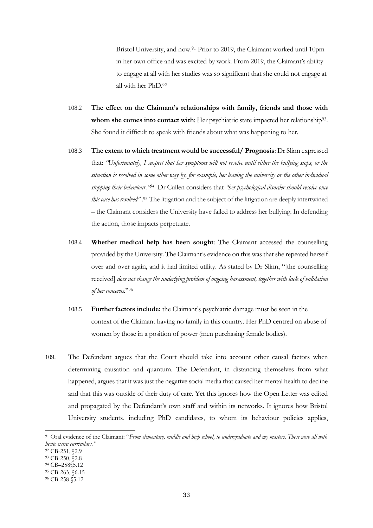Bristol University, and now.<sup>91</sup> Prior to 2019, the Claimant worked until 10pm in her own office and was excited by work. From 2019, the Claimant's ability to engage at all with her studies was so significant that she could not engage at all with her PhD.<sup>92</sup>

- 108.2 **The effect on the Claimant's relationships with family, friends and those with**  whom she comes into contact with: Her psychiatric state impacted her relationship<sup>93</sup>. She found it difficult to speak with friends about what was happening to her.
- 108.3 **The extent to which treatment would be successful/ Prognosis**: Dr Slinn expressed that: *"Unfortunately, I suspect that her symptoms will not resolve until either the bullying stops, or the situation is resolved in some other way by, for example, her leaving the university or the other individual stopping their behaviour."<sup>94</sup>* Dr Cullen considers that *"her psychological disorder should resolve once this case has resolved"* . <sup>95</sup> The litigation and the subject of the litigation are deeply intertwined – the Claimant considers the University have failed to address her bullying. In defending the action, those impacts perpetuate.
- 108.4 **Whether medical help has been sought**: The Claimant accessed the counselling provided by the University. The Claimant's evidence on this was that she repeated herself over and over again, and it had limited utility. As stated by Dr Slinn, "[the counselling received] *does not change the underlying problem of ongoing harassment, together with lack of validation of her concerns.*"<sup>96</sup>
- 108.5 **Further factors include:** the Claimant's psychiatric damage must be seen in the context of the Claimant having no family in this country. Her PhD centred on abuse of women by those in a position of power (men purchasing female bodies).
- 109. The Defendant argues that the Court should take into account other causal factors when determining causation and quantum. The Defendant, in distancing themselves from what happened, argues that it was just the negative social media that caused her mental health to decline and that this was outside of their duty of care. Yet this ignores how the Open Letter was edited and propagated by the Defendant's own staff and within its networks. It ignores how Bristol University students, including PhD candidates, to whom its behaviour policies applies,

<sup>91</sup> Oral evidence of the Claimant: "*From elementary, middle and high school, to undergraduate and my masters. These were all with hectic extra curriculars."*

<sup>92</sup> CB-251, §2.9

<sup>93</sup> CB-250, §2.8

<sup>94</sup> CB–258§5.12

<sup>95</sup> CB-263, §6.15

<sup>96</sup> CB-258 §5.12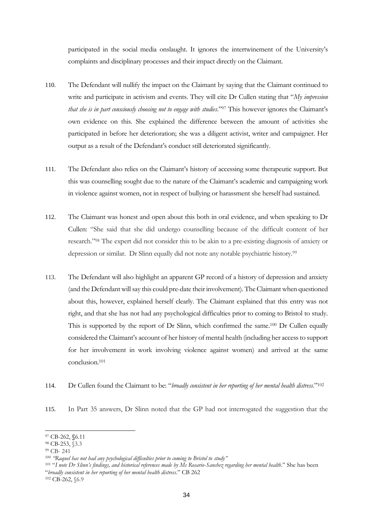participated in the social media onslaught. It ignores the intertwinement of the University's complaints and disciplinary processes and their impact directly on the Claimant.

- 110. The Defendant will nullify the impact on the Claimant by saying that the Claimant continued to write and participate in activism and events. They will cite Dr Cullen stating that "*My impression that she is in part consciously choosing not to engage with studies*."<sup>97</sup> This however ignores the Claimant's own evidence on this. She explained the difference between the amount of activities she participated in before her deterioration; she was a diligent activist, writer and campaigner. Her output as a result of the Defendant's conduct still deteriorated significantly.
- 111. The Defendant also relies on the Claimant's history of accessing some therapeutic support. But this was counselling sought due to the nature of the Claimant's academic and campaigning work in violence against women, not in respect of bullying or harassment she herself had sustained.
- 112. The Claimant was honest and open about this both in oral evidence, and when speaking to Dr Cullen: "She said that she did undergo counselling because of the difficult content of her research."<sup>98</sup> The expert did not consider this to be akin to a pre-existing diagnosis of anxiety or depression or similar. Dr Slinn equally did not note any notable psychiatric history.<sup>99</sup>
- 113. The Defendant will also highlight an apparent GP record of a history of depression and anxiety (and the Defendant will say this could pre-date their involvement). The Claimant when questioned about this, however, explained herself clearly. The Claimant explained that this entry was not right, and that she has not had any psychological difficulties prior to coming to Bristol to study. This is supported by the report of Dr Slinn, which confirmed the same.<sup>100</sup> Dr Cullen equally considered the Claimant's account of her history of mental health (including her access to support for her involvement in work involving violence against women) and arrived at the same conclusion.<sup>101</sup>
- 114. Dr Cullen found the Claimant to be: "*broadly consistent in her reporting of her mental health distress*."<sup>102</sup>
- 115. In Part 35 answers, Dr Slinn noted that the GP had not interrogated the suggestion that the

<sup>97</sup> CB-262, **§**6.11

<sup>98</sup> CB-253, §3.3

<sup>99</sup> CB- 241

<sup>100</sup> *"Raquel has not had any psychological difficulties prior to coming to Bristol to study"*

<sup>101</sup> "*I note Dr Slinn's findings, and historical references made by Ms Rosario-Sanchez regarding her mental health*." She has been "*broadly consistent in her reporting of her mental health distress*." CB 262

<sup>102</sup> CB-262, §6.9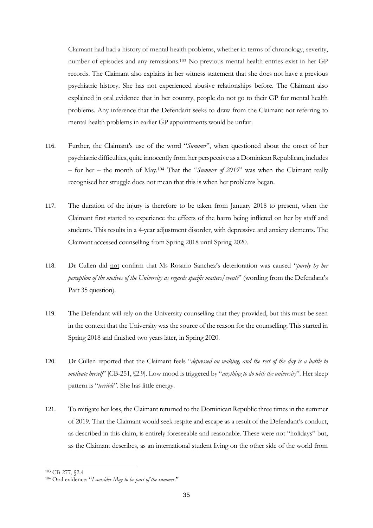Claimant had had a history of mental health problems, whether in terms of chronology, severity, number of episodes and any remissions.<sup>103</sup> No previous mental health entries exist in her GP records. The Claimant also explains in her witness statement that she does not have a previous psychiatric history. She has not experienced abusive relationships before. The Claimant also explained in oral evidence that in her country, people do not go to their GP for mental health problems. Any inference that the Defendant seeks to draw from the Claimant not referring to mental health problems in earlier GP appointments would be unfair.

- 116. Further, the Claimant's use of the word "*Summer*", when questioned about the onset of her psychiatric difficulties, quite innocently from her perspective as a Dominican Republican, includes – for her – the month of May.<sup>104</sup> That the "*Summer of 2019*" was when the Claimant really recognised her struggle does not mean that this is when her problems began.
- 117. The duration of the injury is therefore to be taken from January 2018 to present, when the Claimant first started to experience the effects of the harm being inflicted on her by staff and students. This results in a 4-year adjustment disorder, with depressive and anxiety elements. The Claimant accessed counselling from Spring 2018 until Spring 2020.
- 118. Dr Cullen did not confirm that Ms Rosario Sanchez's deterioration was caused "*purely by her perception of the motives of the University as regards specific matters/events*" (wording from the Defendant's Part 35 question).
- 119. The Defendant will rely on the University counselling that they provided, but this must be seen in the context that the University was the source of the reason for the counselling. This started in Spring 2018 and finished two years later, in Spring 2020.
- 120. Dr Cullen reported that the Claimant feels "*depressed on waking, and the rest of the day is a battle to motivate herself*" [CB-251, §2.9]. Low mood is triggered by "*anything to do with the university*". Her sleep pattern is "*terrible*". She has little energy.
- 121. To mitigate her loss, the Claimant returned to the Dominican Republic three times in the summer of 2019. That the Claimant would seek respite and escape as a result of the Defendant's conduct, as described in this claim, is entirely foreseeable and reasonable. These were not "holidays" but, as the Claimant describes, as an international student living on the other side of the world from

<sup>103</sup> CB-277, §2.4

<sup>104</sup> Oral evidence: "*I consider May to be part of the summer*."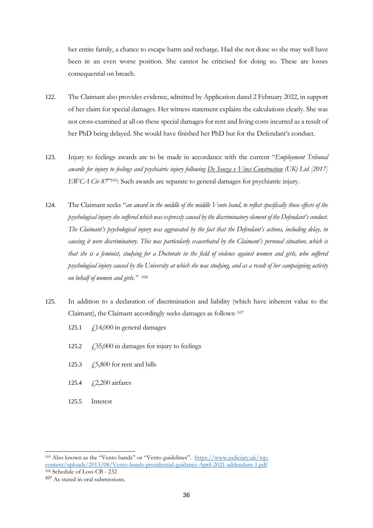her entire family, a chance to escape harm and recharge. Had she not done so she may well have been in an even worse position. She cannot be criticised for doing so. These are losses consequential on breach.

- 122. The Claimant also provides evidence, admitted by Application dated 2 February 2022, in support of her claim for special damages. Her witness statement explains the calculations clearly. She was not cross-examined at all on these special damages for rent and living costs incurred as a result of her PhD being delayed. She would have finished her PhD but for the Defendant's conduct.
- 123. Injury to feelings awards are to be made in accordance with the current "*Employment Tribunal awards for injury to feelings and psychiatric injury following De Souza v Vinci Construction (UK) Ltd [2017] EWCA Civ 87*<sup>"105</sup>: Such awards are separate to general damages for psychiatric injury.
- 124. The Claimant seeks "*an award in the middle of the middle Vento band, to reflect specifically those effects of the psychological injury she suffered which was expressly caused by the discriminatory element of the Defendant's conduct. The Claimant's psychological injury was aggravated by the fact that the Defendant's actions, including delay, in causing it were discriminatory. This was particularly exacerbated by the Claimant's personal situation, which is that she is a feminist, studying for a Doctorate in the field of violence against women and girls, who suffered psychological injury caused by the University at which she was studying, and as a result of her campaigning activity on behalf of women and girls." 106*
- 125. In addition to a declaration of discrimination and liability (which have inherent value to the Claimant), the Claimant accordingly seeks damages as follows: 107
	- 125.1  $\angle$  f 14,000 in general damages
	- 125.2  $\angle$  £35,000 in damages for injury to feelings
	- 125.3  $\angle$  £5,800 for rent and bills
	- 125.4 £2,200 airfares
	- 125.5 Interest

<sup>105</sup> Also known as the "Vento bands" or "Vento guidelines". [https://www.judiciary.uk/wp](https://www.judiciary.uk/wp-content/uploads/2013/08/Vento-bands-presidential-guidance-April-2021-addendum-1.pdf)[content/uploads/2013/08/Vento-bands-presidential-guidance-April-2021-addendum-1.pdf](https://www.judiciary.uk/wp-content/uploads/2013/08/Vento-bands-presidential-guidance-April-2021-addendum-1.pdf) <sup>106</sup> Schedule of Loss CB - 232

<sup>107</sup> As stated in oral submissions.